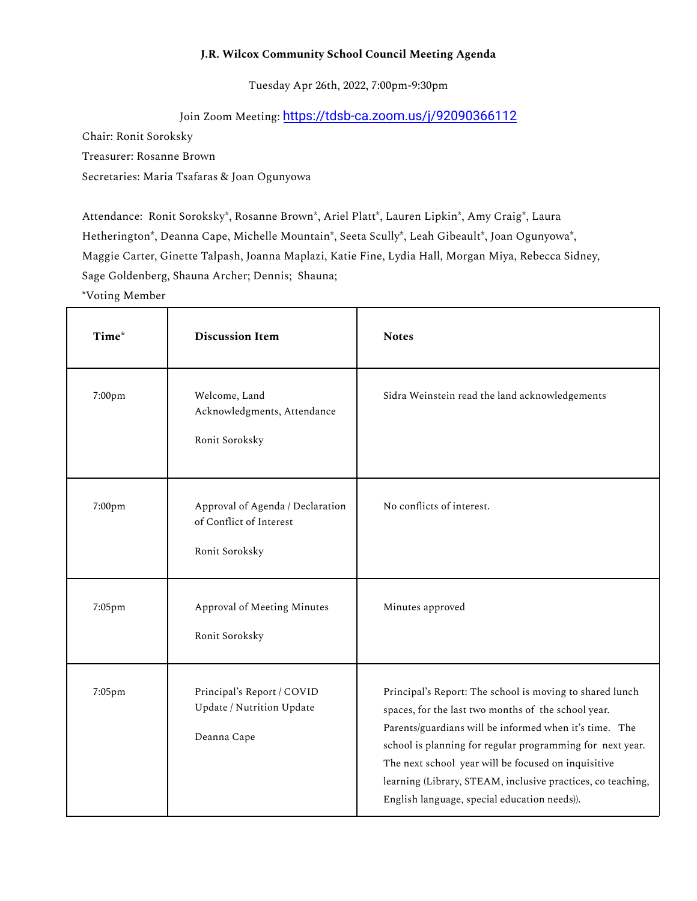## **J.R. Wilcox Community School Council Meeting Agenda**

Tuesday Apr 26th, 2022, 7:00pm-9:30pm

## Join Zoom Meeting: <https://tdsb-ca.zoom.us/j/92090366112>

Chair: Ronit Soroksky

Treasurer: Rosanne Brown

Secretaries: Maria Tsafaras & Joan Ogunyowa

Attendance: Ronit Soroksky\*, Rosanne Brown\*, Ariel Platt\*, Lauren Lipkin\*, Amy Craig\*, Laura Hetherington\*, Deanna Cape, Michelle Mountain\*, Seeta Scully\*, Leah Gibeault\*, Joan Ogunyowa\*, Maggie Carter, Ginette Talpash, Joanna Maplazi, Katie Fine, Lydia Hall, Morgan Miya, Rebecca Sidney, Sage Goldenberg, Shauna Archer; Dennis; Shauna;

\*Voting Member

| Time*  | <b>Discussion Item</b>                                                        | <b>Notes</b>                                                                                                                                                                                                                                                                                                                                                                                                 |
|--------|-------------------------------------------------------------------------------|--------------------------------------------------------------------------------------------------------------------------------------------------------------------------------------------------------------------------------------------------------------------------------------------------------------------------------------------------------------------------------------------------------------|
| 7:00pm | Welcome, Land<br>Acknowledgments, Attendance<br>Ronit Soroksky                | Sidra Weinstein read the land acknowledgements                                                                                                                                                                                                                                                                                                                                                               |
| 7:00pm | Approval of Agenda / Declaration<br>of Conflict of Interest<br>Ronit Soroksky | No conflicts of interest.                                                                                                                                                                                                                                                                                                                                                                                    |
| 7:05pm | Approval of Meeting Minutes<br>Ronit Soroksky                                 | Minutes approved                                                                                                                                                                                                                                                                                                                                                                                             |
| 7:05pm | Principal's Report / COVID<br>Update / Nutrition Update<br>Deanna Cape        | Principal's Report: The school is moving to shared lunch<br>spaces, for the last two months of the school year.<br>Parents/guardians will be informed when it's time. The<br>school is planning for regular programming for next year.<br>The next school year will be focused on inquisitive<br>learning (Library, STEAM, inclusive practices, co teaching,<br>English language, special education needs)). |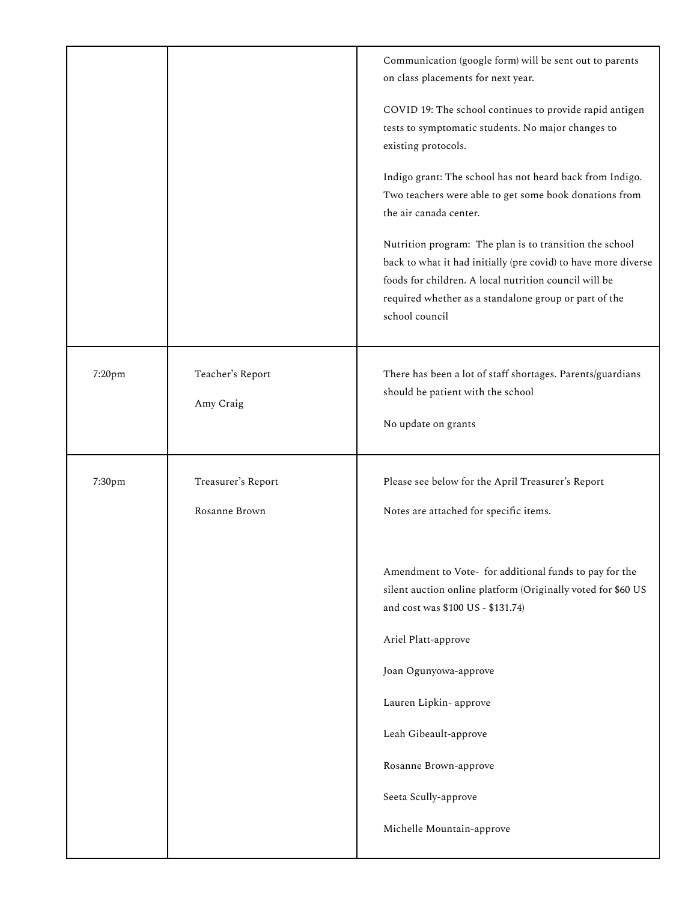|        |                                     | Communication (google form) will be sent out to parents<br>on class placements for next year.                                                                                                                                                                 |
|--------|-------------------------------------|---------------------------------------------------------------------------------------------------------------------------------------------------------------------------------------------------------------------------------------------------------------|
|        |                                     | COVID 19: The school continues to provide rapid antigen<br>tests to symptomatic students. No major changes to<br>existing protocols.                                                                                                                          |
|        |                                     | Indigo grant: The school has not heard back from Indigo.<br>Two teachers were able to get some book donations from<br>the air canada center.                                                                                                                  |
|        |                                     | Nutrition program: The plan is to transition the school<br>back to what it had initially (pre covid) to have more diverse<br>foods for children. A local nutrition council will be<br>required whether as a standalone group or part of the<br>school council |
| 7:20pm | Teacher's Report<br>Amy Craig       | There has been a lot of staff shortages. Parents/guardians<br>should be patient with the school<br>No update on grants                                                                                                                                        |
| 7:30pm | Treasurer's Report<br>Rosanne Brown | Please see below for the April Treasurer's Report<br>Notes are attached for specific items.                                                                                                                                                                   |
|        |                                     |                                                                                                                                                                                                                                                               |
|        |                                     | Amendment to Vote- for additional funds to pay for the<br>silent auction online platform (Originally voted for \$60 US<br>and cost was \$100 US - \$131.74)                                                                                                   |
|        |                                     | Ariel Platt-approve                                                                                                                                                                                                                                           |
|        |                                     | Joan Ogunyowa-approve                                                                                                                                                                                                                                         |
|        |                                     | Lauren Lipkin- approve<br>Leah Gibeault-approve                                                                                                                                                                                                               |
|        |                                     | Rosanne Brown-approve                                                                                                                                                                                                                                         |
|        |                                     | Seeta Scully-approve                                                                                                                                                                                                                                          |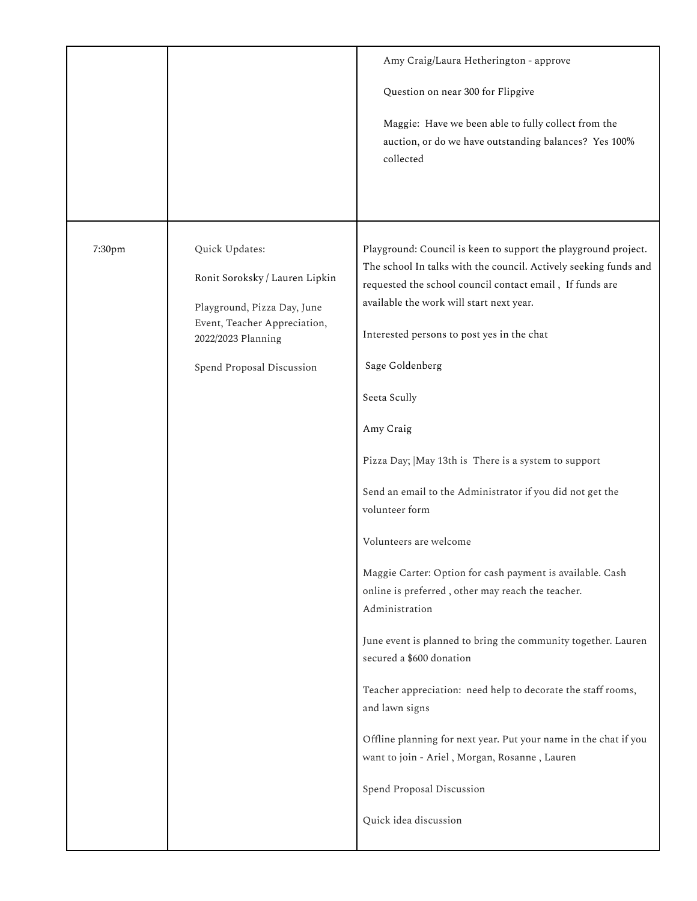|        |                                                                                                                                                                    | Amy Craig/Laura Hetherington - approve<br>Question on near 300 for Flipgive<br>Maggie: Have we been able to fully collect from the<br>auction, or do we have outstanding balances? Yes 100%<br>collected                                                                                                                                                                                                                                                                                                                                                                                                                                                                                                                                                                                                                                                                                                                                                                                                 |
|--------|--------------------------------------------------------------------------------------------------------------------------------------------------------------------|----------------------------------------------------------------------------------------------------------------------------------------------------------------------------------------------------------------------------------------------------------------------------------------------------------------------------------------------------------------------------------------------------------------------------------------------------------------------------------------------------------------------------------------------------------------------------------------------------------------------------------------------------------------------------------------------------------------------------------------------------------------------------------------------------------------------------------------------------------------------------------------------------------------------------------------------------------------------------------------------------------|
| 7:30pm | Quick Updates:<br>Ronit Soroksky / Lauren Lipkin<br>Playground, Pizza Day, June<br>Event, Teacher Appreciation,<br>2022/2023 Planning<br>Spend Proposal Discussion | Playground: Council is keen to support the playground project.<br>The school In talks with the council. Actively seeking funds and<br>requested the school council contact email, If funds are<br>available the work will start next year.<br>Interested persons to post yes in the chat<br>Sage Goldenberg<br>Seeta Scully<br>Amy Craig<br>Pizza Day;   May 13th is There is a system to support<br>Send an email to the Administrator if you did not get the<br>volunteer form<br>Volunteers are welcome<br>Maggie Carter: Option for cash payment is available. Cash<br>online is preferred, other may reach the teacher.<br>Administration<br>June event is planned to bring the community together. Lauren<br>secured a \$600 donation<br>Teacher appreciation: need help to decorate the staff rooms,<br>and lawn signs<br>Offline planning for next year. Put your name in the chat if you<br>want to join - Ariel, Morgan, Rosanne, Lauren<br>Spend Proposal Discussion<br>Quick idea discussion |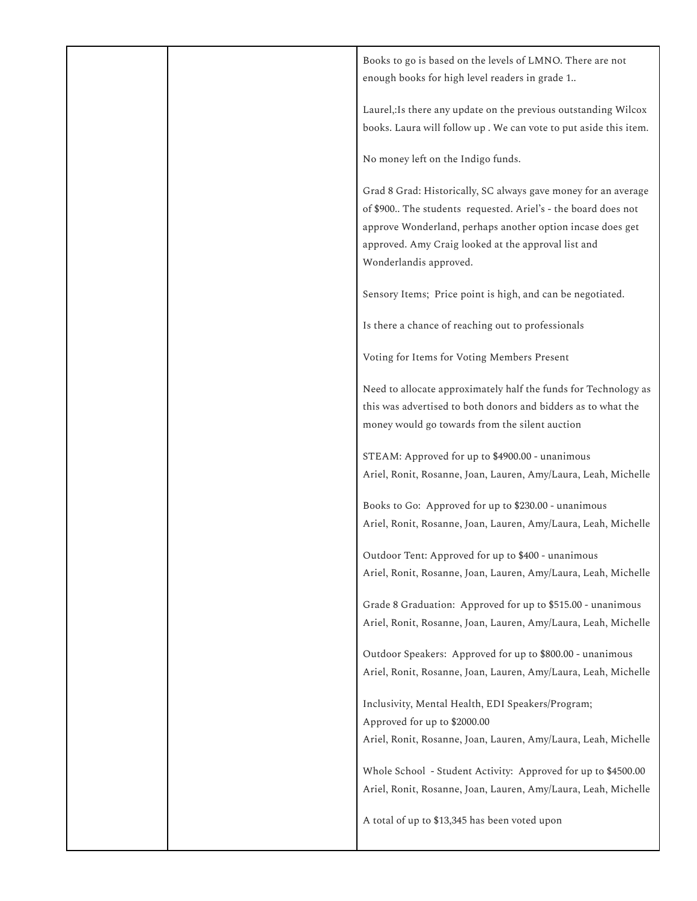|  | Books to go is based on the levels of LMNO. There are not<br>enough books for high level readers in grade 1                                                                                                                                                                    |
|--|--------------------------------------------------------------------------------------------------------------------------------------------------------------------------------------------------------------------------------------------------------------------------------|
|  | Laurel, Is there any update on the previous outstanding Wilcox<br>books. Laura will follow up . We can vote to put aside this item.                                                                                                                                            |
|  | No money left on the Indigo funds.                                                                                                                                                                                                                                             |
|  | Grad 8 Grad: Historically, SC always gave money for an average<br>of \$900 The students requested. Ariel's - the board does not<br>approve Wonderland, perhaps another option incase does get<br>approved. Amy Craig looked at the approval list and<br>Wonderlandis approved. |
|  | Sensory Items; Price point is high, and can be negotiated.                                                                                                                                                                                                                     |
|  | Is there a chance of reaching out to professionals                                                                                                                                                                                                                             |
|  | Voting for Items for Voting Members Present                                                                                                                                                                                                                                    |
|  | Need to allocate approximately half the funds for Technology as<br>this was advertised to both donors and bidders as to what the<br>money would go towards from the silent auction                                                                                             |
|  | STEAM: Approved for up to \$4900.00 - unanimous<br>Ariel, Ronit, Rosanne, Joan, Lauren, Amy/Laura, Leah, Michelle                                                                                                                                                              |
|  | Books to Go: Approved for up to \$230.00 - unanimous<br>Ariel, Ronit, Rosanne, Joan, Lauren, Amy/Laura, Leah, Michelle                                                                                                                                                         |
|  | Outdoor Tent: Approved for up to \$400 - unanimous<br>Ariel, Ronit, Rosanne, Joan, Lauren, Amy/Laura, Leah, Michelle                                                                                                                                                           |
|  | Grade 8 Graduation: Approved for up to \$515.00 - unanimous<br>Ariel, Ronit, Rosanne, Joan, Lauren, Amy/Laura, Leah, Michelle                                                                                                                                                  |
|  | Outdoor Speakers: Approved for up to \$800.00 - unanimous<br>Ariel, Ronit, Rosanne, Joan, Lauren, Amy/Laura, Leah, Michelle                                                                                                                                                    |
|  | Inclusivity, Mental Health, EDI Speakers/Program;                                                                                                                                                                                                                              |
|  | Approved for up to \$2000.00<br>Ariel, Ronit, Rosanne, Joan, Lauren, Amy/Laura, Leah, Michelle                                                                                                                                                                                 |
|  | Whole School - Student Activity: Approved for up to \$4500.00<br>Ariel, Ronit, Rosanne, Joan, Lauren, Amy/Laura, Leah, Michelle                                                                                                                                                |
|  | A total of up to \$13,345 has been voted upon                                                                                                                                                                                                                                  |
|  |                                                                                                                                                                                                                                                                                |